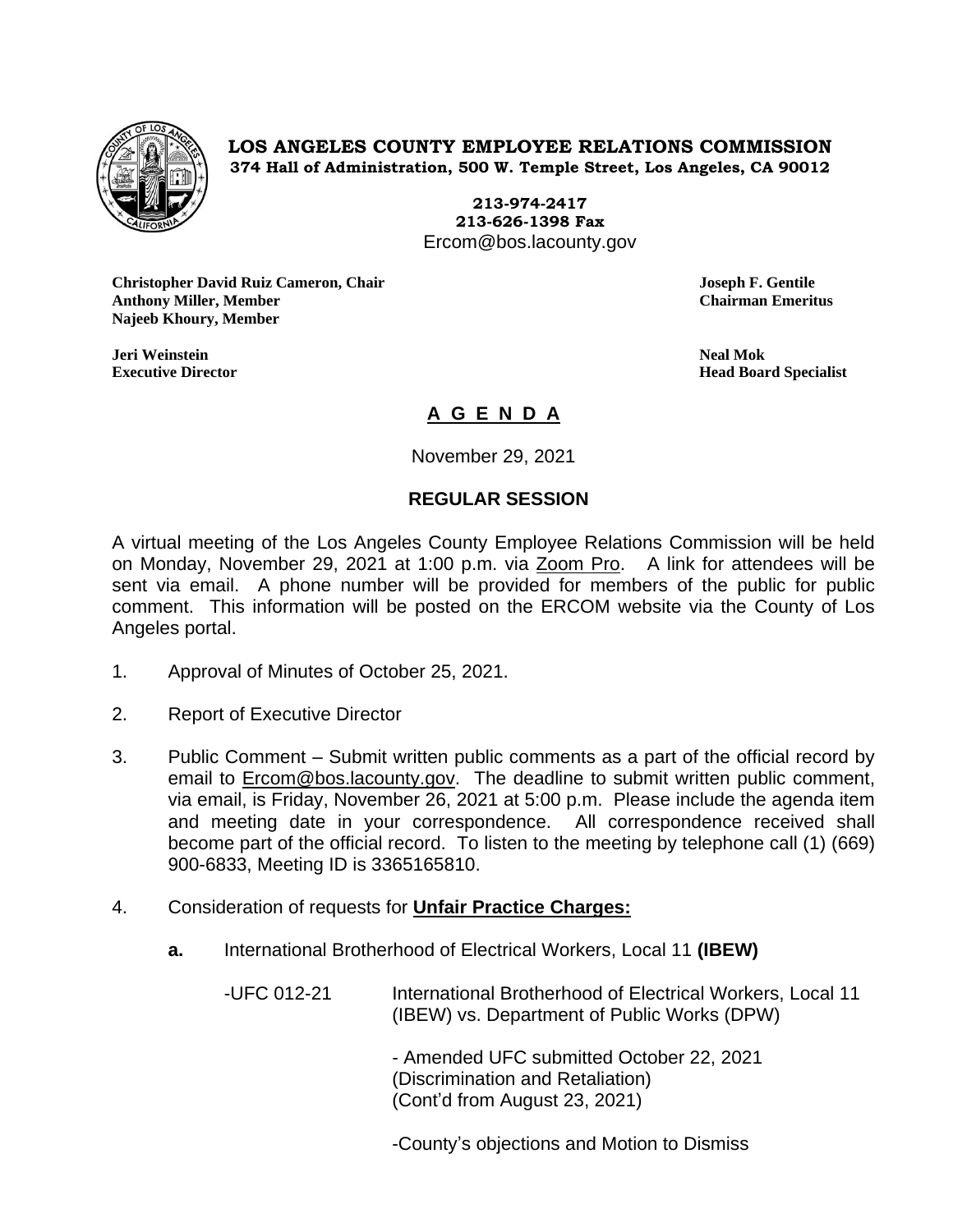

**LOS ANGELES COUNTY EMPLOYEE RELATIONS COMMISSION 374 Hall of Administration, 500 W. Temple Street, Los Angeles, CA 90012**

> **213-974-2417 213-626-1398 Fax** Ercom@bos.lacounty.gov

**Christopher David Ruiz Cameron, Chair Joseph F. Gentile Anthony Miller, Member Chairman Emeritus Najeeb Khoury, Member**

**Jeri Weinstein Neal Mok**

**Executive Director Head Board Specialist**

# **A G E N D A**

November 29, 2021

## **REGULAR SESSION**

A virtual meeting of the Los Angeles County Employee Relations Commission will be held on Monday, November 29, 2021 at 1:00 p.m. via Zoom Pro. A link for attendees will be sent via email. A phone number will be provided for members of the public for public comment. This information will be posted on the ERCOM website via the County of Los Angeles portal.

- 1. Approval of Minutes of October 25, 2021.
- 2. Report of Executive Director
- 3. Public Comment Submit written public comments as a part of the official record by email to [Ercom@bos.lacounty.gov.](mailto:Ercom@bos.lacounty.gov) The deadline to submit written public comment, via email, is Friday, November 26, 2021 at 5:00 p.m. Please include the agenda item and meeting date in your correspondence. All correspondence received shall become part of the official record. To listen to the meeting by telephone call (1) (669) 900-6833, Meeting ID is 3365165810.
- 4. Consideration of requests for **Unfair Practice Charges:**
	- **a.** International Brotherhood of Electrical Workers, Local 11 **(IBEW)**

-UFC 012-21 International Brotherhood of Electrical Workers, Local 11 (IBEW) vs. Department of Public Works (DPW)

> - Amended UFC submitted October 22, 2021 (Discrimination and Retaliation) (Cont'd from August 23, 2021)

-County's objections and Motion to Dismiss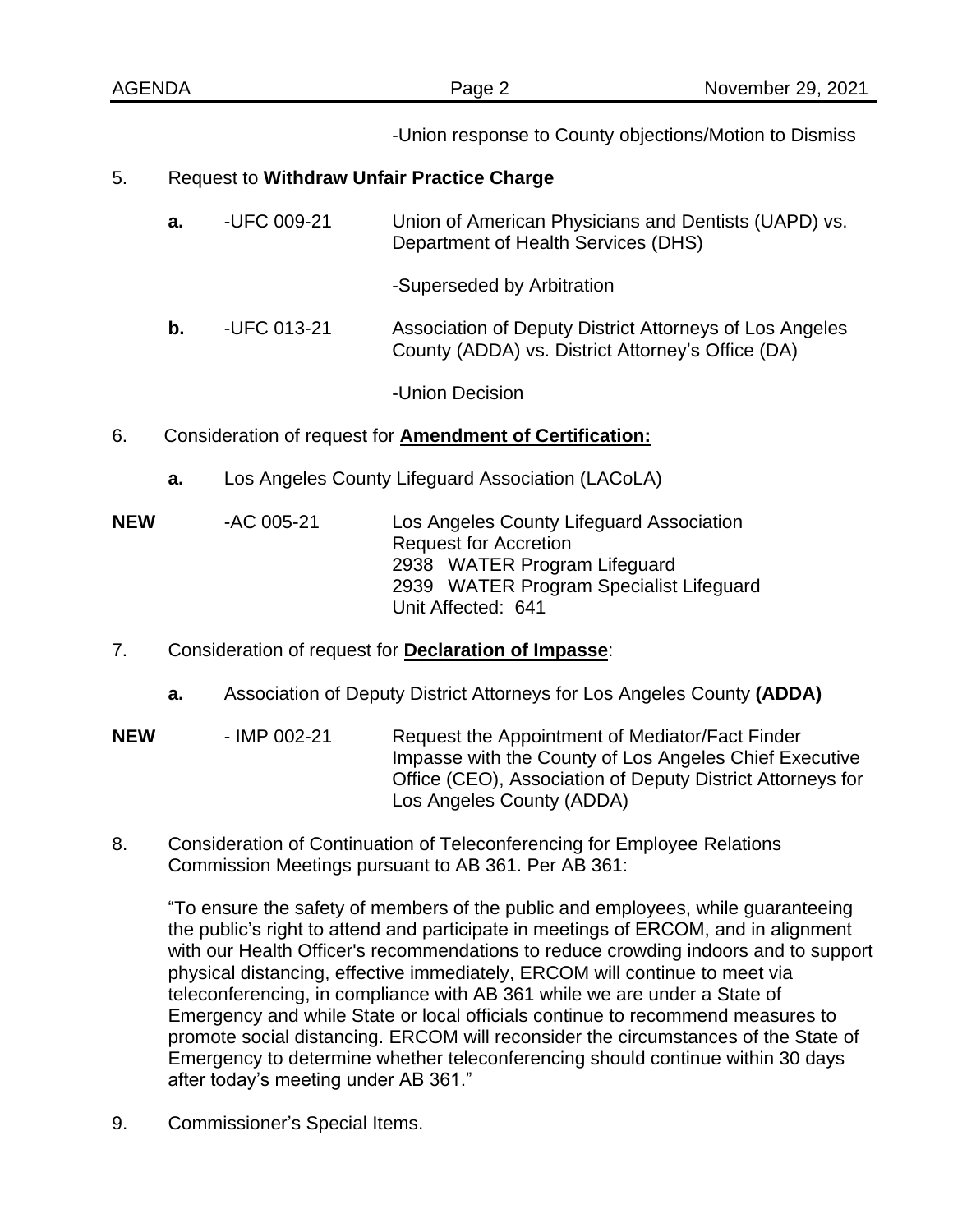| <b>AGENDA</b>            |                                                                 |                                                   | Page 2                                                                                                       | November 29, 2021                        |  |
|--------------------------|-----------------------------------------------------------------|---------------------------------------------------|--------------------------------------------------------------------------------------------------------------|------------------------------------------|--|
|                          |                                                                 |                                                   | -Union response to County objections/Motion to Dismiss                                                       |                                          |  |
| 5.                       | <b>Request to Withdraw Unfair Practice Charge</b>               |                                                   |                                                                                                              |                                          |  |
|                          | a.                                                              | -UFC 009-21                                       | Union of American Physicians and Dentists (UAPD) vs.<br>Department of Health Services (DHS)                  |                                          |  |
|                          |                                                                 |                                                   | -Superseded by Arbitration                                                                                   |                                          |  |
|                          | b.                                                              | -UFC 013-21                                       | Association of Deputy District Attorneys of Los Angeles<br>County (ADDA) vs. District Attorney's Office (DA) |                                          |  |
|                          |                                                                 |                                                   | -Union Decision                                                                                              |                                          |  |
| 6.                       | Consideration of request for <b>Amendment of Certification:</b> |                                                   |                                                                                                              |                                          |  |
|                          | a.                                                              | Los Angeles County Lifeguard Association (LACoLA) |                                                                                                              |                                          |  |
| -AC 005-21<br><b>NEW</b> |                                                                 |                                                   |                                                                                                              | Los Angeles County Lifeguard Association |  |

Request for Accretion 2938 WATER Program Lifeguard 2939 WATER Program Specialist Lifeguard Unit Affected: 641

#### 7. Consideration of request for **Declaration of Impasse**:

**a.** Association of Deputy District Attorneys for Los Angeles County **(ADDA)**

**NEW** - IMP 002-21 Request the Appointment of Mediator/Fact Finder Impasse with the County of Los Angeles Chief Executive Office (CEO), Association of Deputy District Attorneys for Los Angeles County (ADDA)

8. Consideration of Continuation of Teleconferencing for Employee Relations Commission Meetings pursuant to AB 361. Per AB 361:

"To ensure the safety of members of the public and employees, while guaranteeing the public's right to attend and participate in meetings of ERCOM, and in alignment with our Health Officer's recommendations to reduce crowding indoors and to support physical distancing, effective immediately, ERCOM will continue to meet via teleconferencing, in compliance with AB 361 while we are under a State of Emergency and while State or local officials continue to recommend measures to promote social distancing. ERCOM will reconsider the circumstances of the State of Emergency to determine whether teleconferencing should continue within 30 days after today's meeting under AB 361."

9. Commissioner's Special Items.